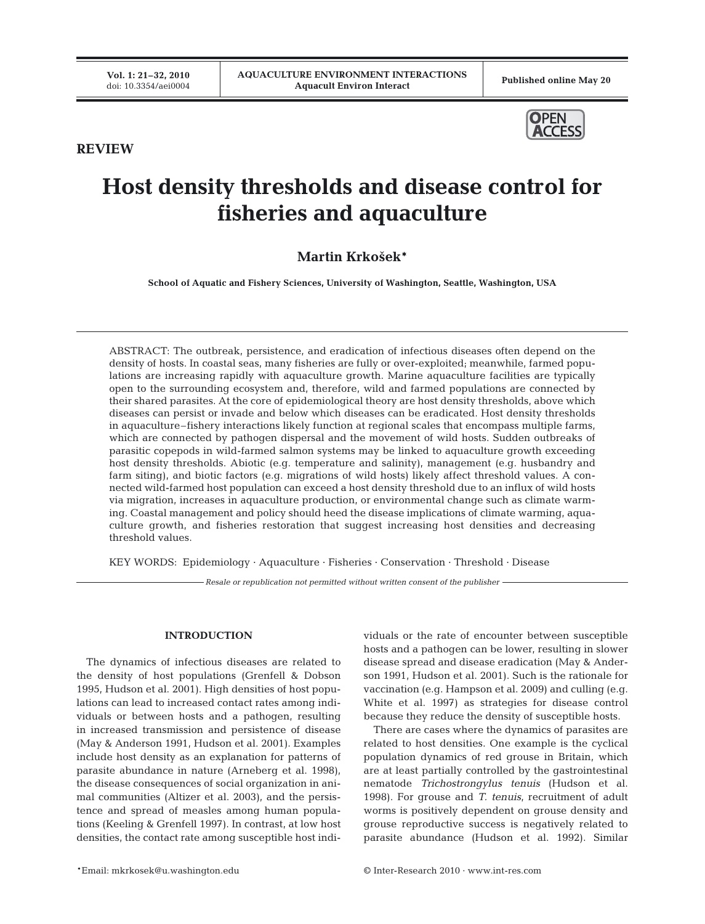

# **REVIEW**

# **Host density thresholds and disease control for fisheries and aquaculture**

# **Martin Krko\$ek\***

**School of Aquatic and Fishery Sciences, University of Washington, Seattle, Washington, USA**

ABSTRACT: The outbreak, persistence, and eradication of infectious diseases often depend on the density of hosts. In coastal seas, many fisheries are fully or over-exploited; meanwhile, farmed populations are increasing rapidly with aquaculture growth. Marine aquaculture facilities are typically open to the surrounding ecosystem and, therefore, wild and farmed populations are connected by their shared parasites. At the core of epidemiological theory are host density thresholds, above which diseases can persist or invade and below which diseases can be eradicated. Host density thresholds in aquaculture–fishery interactions likely function at regional scales that encompass multiple farms, which are connected by pathogen dispersal and the movement of wild hosts. Sudden outbreaks of parasitic copepods in wild-farmed salmon systems may be linked to aquaculture growth exceeding host density thresholds. Abiotic (e.g. temperature and salinity), management (e.g. husbandry and farm siting), and biotic factors (e.g. migrations of wild hosts) likely affect threshold values. A connected wild-farmed host population can exceed a host density threshold due to an influx of wild hosts via migration, increases in aquaculture production, or environmental change such as climate warming. Coastal management and policy should heed the disease implications of climate warming, aquaculture growth, and fisheries restoration that suggest increasing host densities and decreasing threshold values.

KEY WORDS: Epidemiology · Aquaculture · Fisheries · Conservation · Threshold · Disease

*Resale or republication not permitted without written consent of the publisher*

# **INTRODUCTION**

The dynamics of infectious diseases are related to the density of host populations (Grenfell & Dobson 1995, Hudson et al. 2001). High densities of host populations can lead to increased contact rates among individuals or between hosts and a pathogen, resulting in increased transmission and persistence of disease (May & Anderson 1991, Hudson et al. 2001). Examples include host density as an explanation for patterns of parasite abundance in nature (Arneberg et al. 1998), the disease consequences of social organization in animal communities (Altizer et al. 2003), and the persistence and spread of measles among human populations (Keeling & Grenfell 1997). In contrast, at low host densities, the contact rate among susceptible host individuals or the rate of encounter between susceptible hosts and a pathogen can be lower, resulting in slower disease spread and disease eradication (May & Anderson 1991, Hudson et al. 2001). Such is the rationale for vaccination (e.g. Hampson et al. 2009) and culling (e.g. White et al. 1997) as strategies for disease control because they reduce the density of susceptible hosts.

There are cases where the dynamics of parasites are related to host densities. One example is the cyclical population dynamics of red grouse in Britain, which are at least partially controlled by the gastrointestinal nematode *Trichostrongylus tenuis* (Hudson et al. 1998). For grouse and *T. tenuis*, recruitment of adult worms is positively dependent on grouse density and grouse reproductive success is negatively related to parasite abundance (Hudson et al. 1992). Similar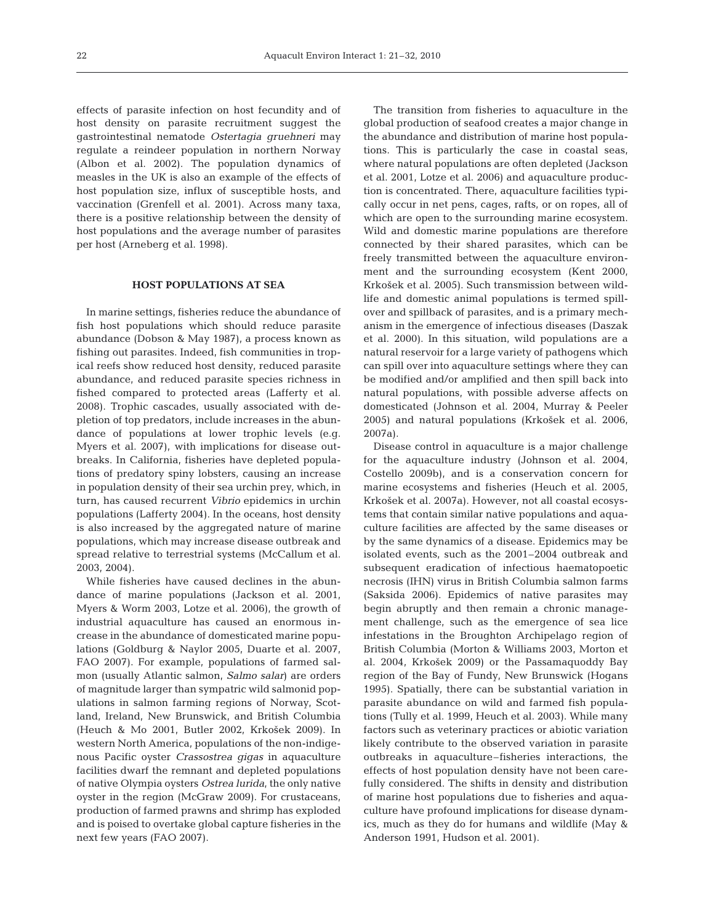effects of parasite infection on host fecundity and of host density on parasite recruitment suggest the gastrointestinal nematode *Ostertagia gruehneri* may regulate a reindeer population in northern Norway (Albon et al. 2002). The population dynamics of measles in the UK is also an example of the effects of host population size, influx of susceptible hosts, and vaccination (Grenfell et al. 2001). Across many taxa, there is a positive relationship between the density of host populations and the average number of parasites per host (Arneberg et al. 1998).

## **HOST POPULATIONS AT SEA**

In marine settings, fisheries reduce the abundance of fish host populations which should reduce parasite abundance (Dobson & May 1987), a process known as fishing out parasites. Indeed, fish communities in tropical reefs show reduced host density, reduced parasite abundance, and reduced parasite species richness in fished compared to protected areas (Lafferty et al. 2008). Trophic cascades, usually associated with depletion of top predators, include increases in the abundance of populations at lower trophic levels (e.g. Myers et al. 2007), with implications for disease outbreaks. In California, fisheries have depleted populations of predatory spiny lobsters, causing an increase in population density of their sea urchin prey, which, in turn, has caused recurrent *Vibrio* epidemics in urchin populations (Lafferty 2004). In the oceans, host density is also increased by the aggregated nature of marine populations, which may increase disease outbreak and spread relative to terrestrial systems (McCallum et al. 2003, 2004).

While fisheries have caused declines in the abundance of marine populations (Jackson et al. 2001, Myers & Worm 2003, Lotze et al. 2006), the growth of industrial aquaculture has caused an enormous increase in the abundance of domesticated marine populations (Goldburg & Naylor 2005, Duarte et al. 2007, FAO 2007). For example, populations of farmed salmon (usually Atlantic salmon, *Salmo salar*) are orders of magnitude larger than sympatric wild salmonid populations in salmon farming regions of Norway, Scotland, Ireland, New Brunswick, and British Columbia (Heuch & Mo 2001, Butler 2002, Krko\$ek 2009). In western North America, populations of the non-indigenous Pacific oyster *Crassostrea gigas* in aquaculture facilities dwarf the remnant and depleted populations of native Olympia oysters *Ostrea lurida*, the only native oyster in the region (McGraw 2009). For crustaceans, production of farmed prawns and shrimp has exploded and is poised to overtake global capture fisheries in the next few years (FAO 2007).

The transition from fisheries to aquaculture in the global production of seafood creates a major change in the abundance and distribution of marine host populations. This is particularly the case in coastal seas, where natural populations are often depleted (Jackson et al. 2001, Lotze et al. 2006) and aquaculture production is concentrated. There, aquaculture facilities typically occur in net pens, cages, rafts, or on ropes, all of which are open to the surrounding marine ecosystem. Wild and domestic marine populations are therefore connected by their shared parasites, which can be freely transmitted between the aquaculture environment and the surrounding ecosystem (Kent 2000, Krko\$ek et al. 2005). Such transmission between wildlife and domestic animal populations is termed spillover and spillback of parasites, and is a primary mechanism in the emergence of infectious diseases (Daszak et al. 2000). In this situation, wild populations are a natural reservoir for a large variety of pathogens which can spill over into aquaculture settings where they can be modified and/or amplified and then spill back into natural populations, with possible adverse affects on domesticated (Johnson et al. 2004, Murray & Peeler 2005) and natural populations (Krko\$ek et al. 2006, 2007a).

Disease control in aquaculture is a major challenge for the aquaculture industry (Johnson et al. 2004, Costello 2009b), and is a conservation concern for marine ecosystems and fisheries (Heuch et al. 2005, Krko\$ek et al. 2007a). However, not all coastal ecosystems that contain similar native populations and aquaculture facilities are affected by the same diseases or by the same dynamics of a disease. Epidemics may be isolated events, such as the 2001–2004 outbreak and subsequent eradication of infectious haematopoetic necrosis (IHN) virus in British Columbia salmon farms (Saksida 2006). Epidemics of native parasites may begin abruptly and then remain a chronic management challenge, such as the emergence of sea lice infestations in the Broughton Archipelago region of British Columbia (Morton & Williams 2003, Morton et al. 2004, Krko\$ek 2009) or the Passamaquoddy Bay region of the Bay of Fundy, New Brunswick (Hogans 1995). Spatially, there can be substantial variation in parasite abundance on wild and farmed fish populations (Tully et al. 1999, Heuch et al. 2003). While many factors such as veterinary practices or abiotic variation likely contribute to the observed variation in parasite outbreaks in aquaculture–fisheries interactions, the effects of host population density have not been carefully considered. The shifts in density and distribution of marine host populations due to fisheries and aquaculture have profound implications for disease dynamics, much as they do for humans and wildlife (May & Anderson 1991, Hudson et al. 2001).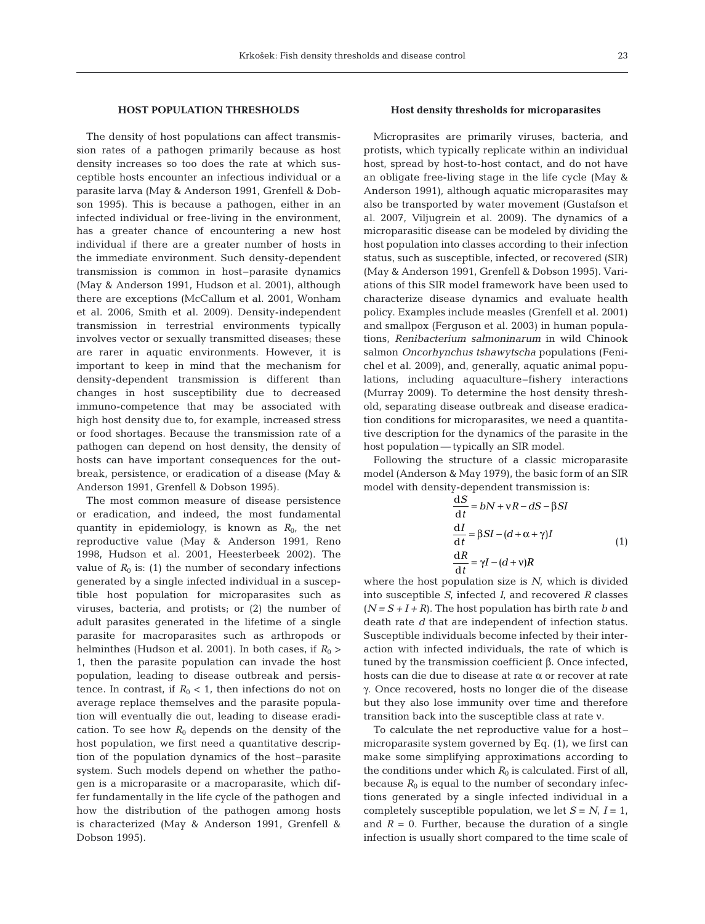#### **HOST POPULATION THRESHOLDS**

The density of host populations can affect transmission rates of a pathogen primarily because as host density increases so too does the rate at which susceptible hosts encounter an infectious individual or a parasite larva (May & Anderson 1991, Grenfell & Dobson 1995). This is because a pathogen, either in an infected individual or free-living in the environment, has a greater chance of encountering a new host individual if there are a greater number of hosts in the immediate environment. Such density-dependent transmission is common in host–parasite dynamics (May & Anderson 1991, Hudson et al. 2001), although there are exceptions (McCallum et al. 2001, Wonham et al. 2006, Smith et al. 2009). Density-independent transmission in terrestrial environments typically involves vector or sexually transmitted diseases; these are rarer in aquatic environments. However, it is important to keep in mind that the mechanism for density-dependent transmission is different than changes in host susceptibility due to decreased immuno-competence that may be associated with high host density due to, for example, increased stress or food shortages. Because the transmission rate of a pathogen can depend on host density, the density of hosts can have important consequences for the outbreak, persistence, or eradication of a disease (May & Anderson 1991, Grenfell & Dobson 1995).

The most common measure of disease persistence or eradication, and indeed, the most fundamental quantity in epidemiology, is known as  $R_0$ , the net reproductive value (May & Anderson 1991, Reno 1998, Hudson et al. 2001, Heesterbeek 2002). The value of  $R_0$  is: (1) the number of secondary infections generated by a single infected individual in a susceptible host population for microparasites such as viruses, bacteria, and protists; or (2) the number of adult parasites generated in the lifetime of a single parasite for macroparasites such as arthropods or helminthes (Hudson et al. 2001). In both cases, if  $R_0$  > 1, then the parasite population can invade the host population, leading to disease outbreak and persistence. In contrast, if  $R_0 < 1$ , then infections do not on average replace themselves and the parasite population will eventually die out, leading to disease eradication. To see how  $R_0$  depends on the density of the host population, we first need a quantitative description of the population dynamics of the host–parasite system. Such models depend on whether the pathogen is a microparasite or a macroparasite, which differ fundamentally in the life cycle of the pathogen and how the distribution of the pathogen among hosts is characterized (May & Anderson 1991, Grenfell & Dobson 1995).

#### **Host density thresholds for microparasites**

Microprasites are primarily viruses, bacteria, and protists, which typically replicate within an individual host, spread by host-to-host contact, and do not have an obligate free-living stage in the life cycle (May & Anderson 1991), although aquatic microparasites may also be transported by water movement (Gustafson et al. 2007, Viljugrein et al. 2009). The dynamics of a microparasitic disease can be modeled by dividing the host population into classes according to their infection status, such as susceptible, infected, or recovered (SIR) (May & Anderson 1991, Grenfell & Dobson 1995). Variations of this SIR model framework have been used to characterize disease dynamics and evaluate health policy. Examples include measles (Grenfell et al. 2001) and smallpox (Ferguson et al. 2003) in human populations, *Renibacterium salmoninarum* in wild Chinook salmon *Oncorhynchus tshawytscha* populations (Fenichel et al. 2009), and, generally, aquatic animal populations, including aquaculture–fishery interactions (Murray 2009). To determine the host density threshold, separating disease outbreak and disease eradication conditions for microparasites, we need a quantitative description for the dynamics of the parasite in the host population — typically an SIR model.

Following the structure of a classic microparasite model (Anderson & May 1979), the basic form of an SIR model with density-dependent transmission is:

$$
\frac{dS}{dt} = bN + vR - dS - \beta SI
$$
  

$$
\frac{dI}{dt} = \beta SI - (d + \alpha + \gamma)I
$$
  

$$
\frac{dR}{dt} = \gamma I - (d + v)R
$$
 (1)

where the host population size is *N*, which is divided into susceptible *S*, infected *I*, and recovered *R* classes  $(N = S + I + R)$ . The host population has birth rate *b* and death rate *d* that are independent of infection status. Susceptible individuals become infected by their interaction with infected individuals, the rate of which is tuned by the transmission coefficient β. Once infected, hosts can die due to disease at rate α or recover at rate γ. Once recovered, hosts no longer die of the disease but they also lose immunity over time and therefore transition back into the susceptible class at rate ν.

To calculate the net reproductive value for a host– microparasite system governed by Eq. (1), we first can make some simplifying approximations according to the conditions under which  $R_0$  is calculated. First of all, because  $R_0$  is equal to the number of secondary infections generated by a single infected individual in a completely susceptible population, we let  $S = N$ ,  $I = 1$ , and  $R = 0$ . Further, because the duration of a single infection is usually short compared to the time scale of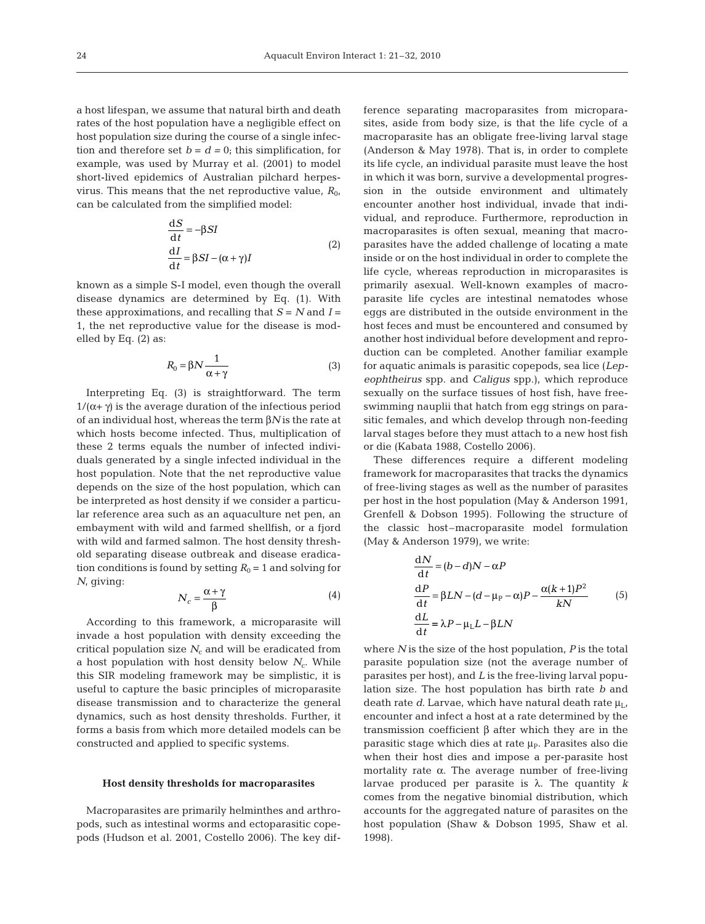a host lifespan, we assume that natural birth and death rates of the host population have a negligible effect on host population size during the course of a single infection and therefore set  $b = d = 0$ ; this simplification, for example, was used by Murray et al. (2001) to model short-lived epidemics of Australian pilchard herpesvirus. This means that the net reproductive value,  $R_{0}$ , can be calculated from the simplified model:

$$
\frac{dS}{dt} = -\beta SI
$$
  
\n
$$
\frac{dI}{dt} = \beta SI - (\alpha + \gamma)I
$$
\n(2)

known as a simple S-I model, even though the overall disease dynamics are determined by Eq. (1). With these approximations, and recalling that  $S = N$  and  $I =$ 1, the net reproductive value for the disease is modelled by Eq. (2) as:

$$
R_0 = \beta N \frac{1}{\alpha + \gamma} \tag{3}
$$

Interpreting Eq. (3) is straightforward. The term  $1/(\alpha + \gamma)$  is the average duration of the infectious period of an individual host, whereas the term β*N* is the rate at which hosts become infected. Thus, multiplication of these 2 terms equals the number of infected individuals generated by a single infected individual in the host population. Note that the net reproductive value depends on the size of the host population, which can be interpreted as host density if we consider a particular reference area such as an aquaculture net pen, an embayment with wild and farmed shellfish, or a fjord with wild and farmed salmon. The host density threshold separating disease outbreak and disease eradication conditions is found by setting  $R_0 = 1$  and solving for *N*, giving:

$$
N_c = \frac{\alpha + \gamma}{\beta} \tag{4}
$$

According to this framework, a microparasite will invade a host population with density exceeding the critical population size  $N_c$  and will be eradicated from a host population with host density below  $N_c$ . While this SIR modeling framework may be simplistic, it is useful to capture the basic principles of microparasite disease transmission and to characterize the general dynamics, such as host density thresholds. Further, it forms a basis from which more detailed models can be constructed and applied to specific systems.

#### **Host density thresholds for macroparasites**

Macroparasites are primarily helminthes and arthropods, such as intestinal worms and ectoparasitic copepods (Hudson et al. 2001, Costello 2006). The key difference separating macroparasites from microparasites, aside from body size, is that the life cycle of a macroparasite has an obligate free-living larval stage (Anderson & May 1978). That is, in order to complete its life cycle, an individual parasite must leave the host in which it was born, survive a developmental progression in the outside environment and ultimately encounter another host individual, invade that individual, and reproduce. Furthermore, reproduction in macroparasites is often sexual, meaning that macroparasites have the added challenge of locating a mate inside or on the host individual in order to complete the life cycle, whereas reproduction in microparasites is primarily asexual. Well-known examples of macroparasite life cycles are intestinal nematodes whose eggs are distributed in the outside environment in the host feces and must be encountered and consumed by another host individual before development and reproduction can be completed. Another familiar example for aquatic animals is parasitic copepods, sea lice (*Lepeophtheirus* spp. and *Caligus* spp.), which reproduce sexually on the surface tissues of host fish, have freeswimming nauplii that hatch from egg strings on parasitic females, and which develop through non-feeding larval stages before they must attach to a new host fish or die (Kabata 1988, Costello 2006).

These differences require a different modeling framework for macroparasites that tracks the dynamics of free-living stages as well as the number of parasites per host in the host population (May & Anderson 1991, Grenfell & Dobson 1995). Following the structure of the classic host–macroparasite model formulation (May & Anderson 1979), we write:

$$
\frac{dN}{dt} = (b - d)N - \alpha P
$$
  
\n
$$
\frac{dP}{dt} = \beta LN - (d - \mu_P - \alpha)P - \frac{\alpha(k + 1)P^2}{kN}
$$
(5)  
\n
$$
\frac{dL}{dt} = \lambda P - \mu_L L - \beta LN
$$

where *N* is the size of the host population, *P* is the total parasite population size (not the average number of parasites per host), and *L* is the free-living larval population size. The host population has birth rate *b* and death rate *d*. Larvae, which have natural death rate μ<sub>L</sub> encounter and infect a host at a rate determined by the transmission coefficient β after which they are in the parasitic stage which dies at rate  $\mu_{\rm P}$ . Parasites also die when their host dies and impose a per-parasite host mortality rate  $\alpha$ . The average number of free-living larvae produced per parasite is λ. The quantity *k* comes from the negative binomial distribution, which accounts for the aggregated nature of parasites on the host population (Shaw & Dobson 1995, Shaw et al. 1998).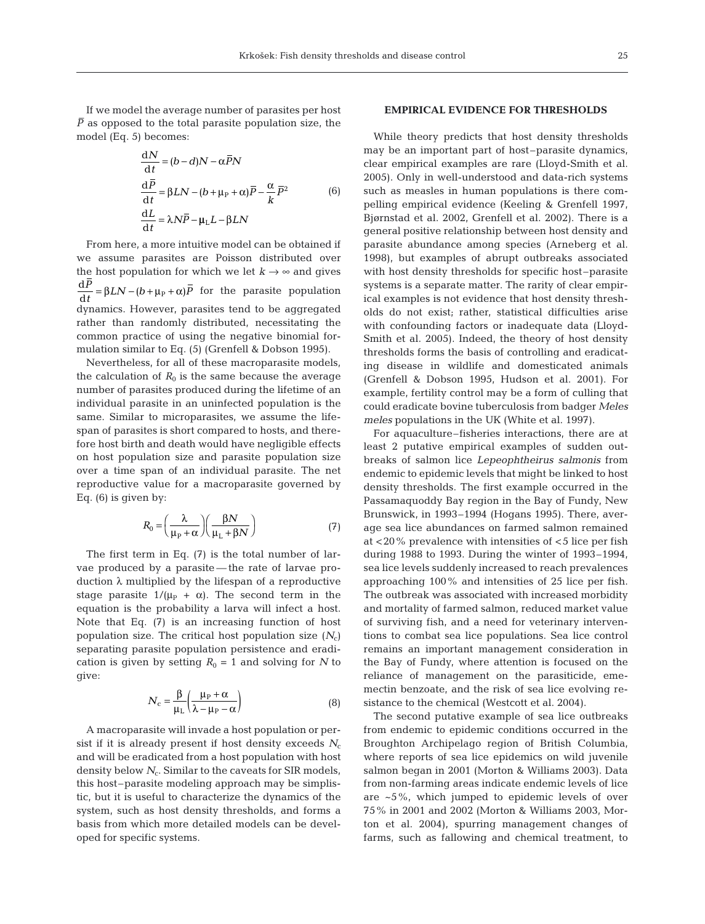If we model the average number of parasites per host  $\overline{P}$  as opposed to the total parasite population size, the model (Eq. 5) becomes:

$$
\frac{dN}{dt} = (b - d)N - \alpha \overline{P}N
$$
  
\n
$$
\frac{d\overline{P}}{dt} = \beta LN - (b + \mu_P + \alpha)\overline{P} - \frac{\alpha}{k}\overline{P}^2
$$
 (6)  
\n
$$
\frac{dL}{dt} = \lambda N\overline{P} - \mu_L L - \beta LN
$$

From here, a more intuitive model can be obtained if we assume parasites are Poisson distributed over the host population for which we let  $k \rightarrow \infty$  and gives  $\frac{d\mathbf{x}}{dt} = \beta L N - (b + \mu_P + \alpha)P$  for the parasite population dynamics. However, parasites tend to be aggregated rather than randomly distributed, necessitating the common practice of using the negative binomial formulation similar to Eq. (5) (Grenfell & Dobson 1995). d *P t*

Nevertheless, for all of these macroparasite models, the calculation of  $R_0$  is the same because the average number of parasites produced during the lifetime of an individual parasite in an uninfected population is the same. Similar to microparasites, we assume the lifespan of parasites is short compared to hosts, and therefore host birth and death would have negligible effects on host population size and parasite population size over a time span of an individual parasite. The net reproductive value for a macroparasite governed by Eq. (6) is given by:

$$
R_0 = \left(\frac{\lambda}{\mu_P + \alpha}\right) \left(\frac{\beta N}{\mu_L + \beta N}\right) \tag{7}
$$

The first term in Eq. (7) is the total number of larvae produced by a parasite — the rate of larvae production λ multiplied by the lifespan of a reproductive stage parasite  $1/(\mu_P + \alpha)$ . The second term in the equation is the probability a larva will infect a host. Note that Eq. (7) is an increasing function of host population size. The critical host population size (*N*c) separating parasite population persistence and eradication is given by setting  $R_0 = 1$  and solving for *N* to give:

$$
N_{\rm c} = \frac{\beta}{\mu_{\rm L}} \left( \frac{\mu_{\rm P} + \alpha}{\lambda - \mu_{\rm P} - \alpha} \right) \tag{8}
$$

A macroparasite will invade a host population or persist if it is already present if host density exceeds  $N_c$ and will be eradicated from a host population with host density below  $N_c$ . Similar to the caveats for SIR models, this host–parasite modeling approach may be simplistic, but it is useful to characterize the dynamics of the system, such as host density thresholds, and forms a basis from which more detailed models can be developed for specific systems.

# **EMPIRICAL EVIDENCE FOR THRESHOLDS**

While theory predicts that host density thresholds may be an important part of host–parasite dynamics, clear empirical examples are rare (Lloyd-Smith et al. 2005). Only in well-understood and data-rich systems such as measles in human populations is there compelling empirical evidence (Keeling & Grenfell 1997, Bjørnstad et al. 2002, Grenfell et al. 2002). There is a general positive relationship between host density and parasite abundance among species (Arneberg et al. 1998), but examples of abrupt outbreaks associated with host density thresholds for specific host–parasite systems is a separate matter. The rarity of clear empirical examples is not evidence that host density thresholds do not exist; rather, statistical difficulties arise with confounding factors or inadequate data (Lloyd-Smith et al. 2005). Indeed, the theory of host density thresholds forms the basis of controlling and eradicating disease in wildlife and domesticated animals (Grenfell & Dobson 1995, Hudson et al. 2001). For example, fertility control may be a form of culling that could eradicate bovine tuberculosis from badger *Meles meles* populations in the UK (White et al. 1997).

For aquaculture–fisheries interactions, there are at least 2 putative empirical examples of sudden outbreaks of salmon lice *Lepeophtheirus salmonis* from endemic to epidemic levels that might be linked to host density thresholds. The first example occurred in the Passamaquoddy Bay region in the Bay of Fundy, New Brunswick, in 1993–1994 (Hogans 1995). There, average sea lice abundances on farmed salmon remained at <20% prevalence with intensities of <5 lice per fish during 1988 to 1993. During the winter of 1993–1994, sea lice levels suddenly increased to reach prevalences approaching 100% and intensities of 25 lice per fish. The outbreak was associated with increased morbidity and mortality of farmed salmon, reduced market value of surviving fish, and a need for veterinary interventions to combat sea lice populations. Sea lice control remains an important management consideration in the Bay of Fundy, where attention is focused on the reliance of management on the parasiticide, ememectin benzoate, and the risk of sea lice evolving resistance to the chemical (Westcott et al. 2004).

The second putative example of sea lice outbreaks from endemic to epidemic conditions occurred in the Broughton Archipelago region of British Columbia, where reports of sea lice epidemics on wild juvenile salmon began in 2001 (Morton & Williams 2003). Data from non-farming areas indicate endemic levels of lice are ~5%, which jumped to epidemic levels of over 75% in 2001 and 2002 (Morton & Williams 2003, Morton et al. 2004), spurring management changes of farms, such as fallowing and chemical treatment, to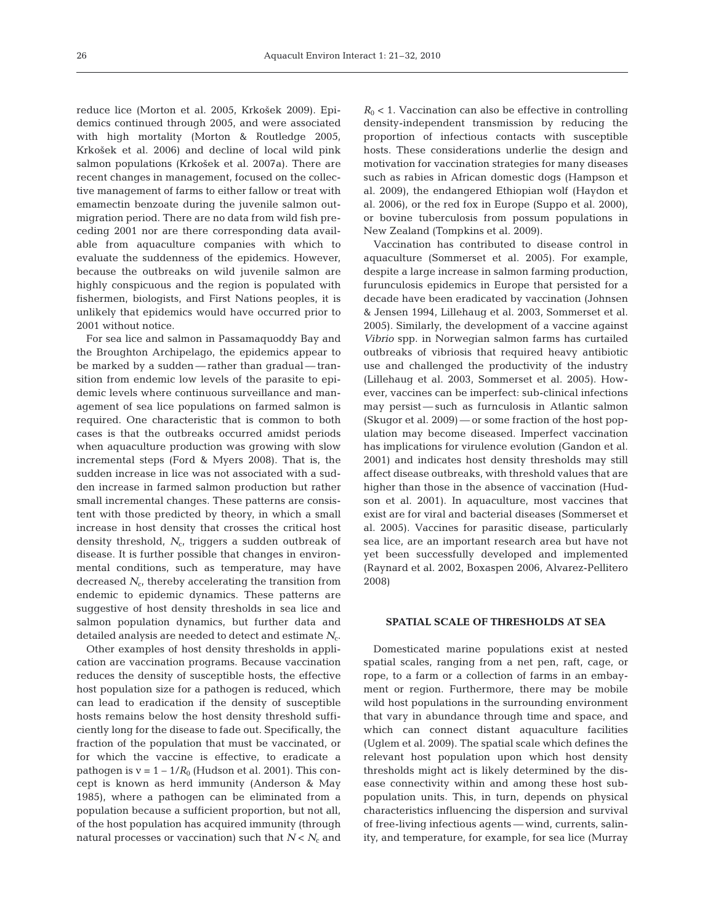reduce lice (Morton et al. 2005, Krko\$ek 2009). Epidemics continued through 2005, and were associated with high mortality (Morton & Routledge 2005, Krko\$ek et al. 2006) and decline of local wild pink salmon populations (Krko\$ek et al. 2007a). There are recent changes in management, focused on the collective management of farms to either fallow or treat with emamectin benzoate during the juvenile salmon outmigration period. There are no data from wild fish preceding 2001 nor are there corresponding data available from aquaculture companies with which to evaluate the suddenness of the epidemics. However, because the outbreaks on wild juvenile salmon are highly conspicuous and the region is populated with fishermen, biologists, and First Nations peoples, it is unlikely that epidemics would have occurred prior to 2001 without notice.

For sea lice and salmon in Passamaquoddy Bay and the Broughton Archipelago, the epidemics appear to be marked by a sudden — rather than gradual — transition from endemic low levels of the parasite to epidemic levels where continuous surveillance and management of sea lice populations on farmed salmon is required. One characteristic that is common to both cases is that the outbreaks occurred amidst periods when aquaculture production was growing with slow incremental steps (Ford & Myers 2008). That is, the sudden increase in lice was not associated with a sudden increase in farmed salmon production but rather small incremental changes. These patterns are consistent with those predicted by theory, in which a small increase in host density that crosses the critical host density threshold, N<sub>c</sub>, triggers a sudden outbreak of disease. It is further possible that changes in environmental conditions, such as temperature, may have decreased  $N_c$ , thereby accelerating the transition from endemic to epidemic dynamics. These patterns are suggestive of host density thresholds in sea lice and salmon population dynamics, but further data and detailed analysis are needed to detect and estimate  $N_c$ .

Other examples of host density thresholds in application are vaccination programs. Because vaccination reduces the density of susceptible hosts, the effective host population size for a pathogen is reduced, which can lead to eradication if the density of susceptible hosts remains below the host density threshold sufficiently long for the disease to fade out. Specifically, the fraction of the population that must be vaccinated, or for which the vaccine is effective, to eradicate a pathogen is  $v = 1 - 1/R_0$  (Hudson et al. 2001). This concept is known as herd immunity (Anderson & May 1985), where a pathogen can be eliminated from a population because a sufficient proportion, but not all, of the host population has acquired immunity (through natural processes or vaccination) such that  $N < N_c$  and  $R_0$  < 1. Vaccination can also be effective in controlling density-independent transmission by reducing the proportion of infectious contacts with susceptible hosts. These considerations underlie the design and motivation for vaccination strategies for many diseases such as rabies in African domestic dogs (Hampson et al. 2009), the endangered Ethiopian wolf (Haydon et al. 2006), or the red fox in Europe (Suppo et al. 2000), or bovine tuberculosis from possum populations in New Zealand (Tompkins et al. 2009).

Vaccination has contributed to disease control in aquaculture (Sommerset et al. 2005). For example, despite a large increase in salmon farming production, furunculosis epidemics in Europe that persisted for a decade have been eradicated by vaccination (Johnsen & Jensen 1994, Lillehaug et al. 2003, Sommerset et al. 2005). Similarly, the development of a vaccine against *Vibrio* spp. in Norwegian salmon farms has curtailed outbreaks of vibriosis that required heavy antibiotic use and challenged the productivity of the industry (Lillehaug et al. 2003, Sommerset et al. 2005). However, vaccines can be imperfect: sub-clinical infections may persist — such as furnculosis in Atlantic salmon (Skugor et al. 2009) — or some fraction of the host population may become diseased. Imperfect vaccination has implications for virulence evolution (Gandon et al. 2001) and indicates host density thresholds may still affect disease outbreaks, with threshold values that are higher than those in the absence of vaccination (Hudson et al. 2001). In aquaculture, most vaccines that exist are for viral and bacterial diseases (Sommerset et al. 2005). Vaccines for parasitic disease, particularly sea lice, are an important research area but have not yet been successfully developed and implemented (Raynard et al. 2002, Boxaspen 2006, Alvarez-Pellitero 2008)

## **SPATIAL SCALE OF THRESHOLDS AT SEA**

Domesticated marine populations exist at nested spatial scales, ranging from a net pen, raft, cage, or rope, to a farm or a collection of farms in an embayment or region. Furthermore, there may be mobile wild host populations in the surrounding environment that vary in abundance through time and space, and which can connect distant aquaculture facilities (Uglem et al. 2009). The spatial scale which defines the relevant host population upon which host density thresholds might act is likely determined by the disease connectivity within and among these host subpopulation units. This, in turn, depends on physical characteristics influencing the dispersion and survival of free-living infectious agents — wind, currents, salinity, and temperature, for example, for sea lice (Murray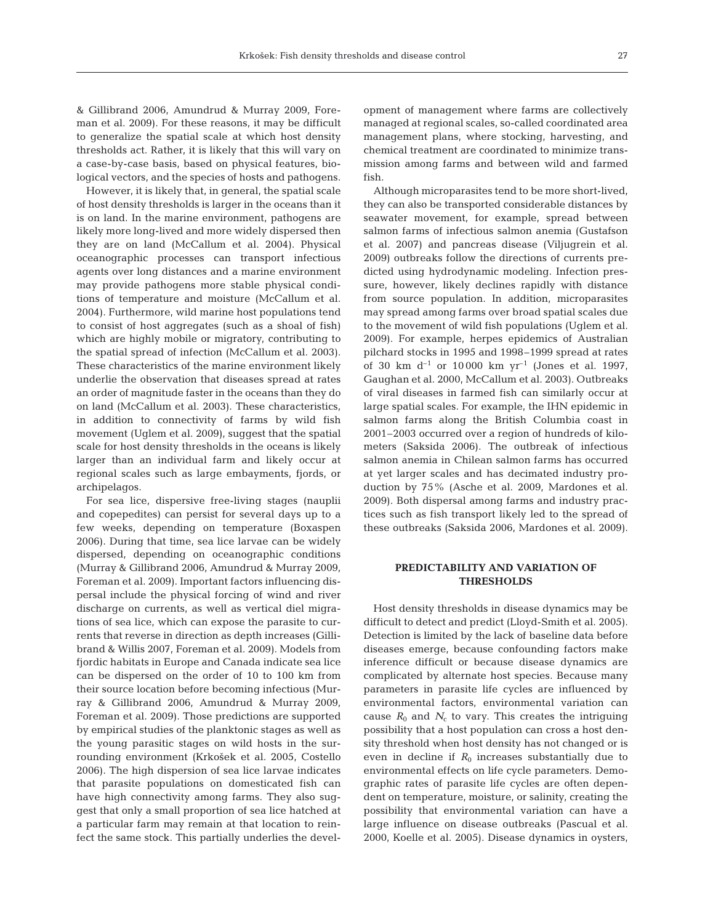& Gillibrand 2006, Amundrud & Murray 2009, Foreman et al. 2009). For these reasons, it may be difficult to generalize the spatial scale at which host density thresholds act. Rather, it is likely that this will vary on a case-by-case basis, based on physical features, biological vectors, and the species of hosts and pathogens.

However, it is likely that, in general, the spatial scale of host density thresholds is larger in the oceans than it is on land. In the marine environment, pathogens are likely more long-lived and more widely dispersed then they are on land (McCallum et al. 2004). Physical oceanographic processes can transport infectious agents over long distances and a marine environment may provide pathogens more stable physical conditions of temperature and moisture (McCallum et al. 2004). Furthermore, wild marine host populations tend to consist of host aggregates (such as a shoal of fish) which are highly mobile or migratory, contributing to the spatial spread of infection (McCallum et al. 2003). These characteristics of the marine environment likely underlie the observation that diseases spread at rates an order of magnitude faster in the oceans than they do on land (McCallum et al. 2003). These characteristics, in addition to connectivity of farms by wild fish movement (Uglem et al. 2009), suggest that the spatial scale for host density thresholds in the oceans is likely larger than an individual farm and likely occur at regional scales such as large embayments, fjords, or archipelagos.

For sea lice, dispersive free-living stages (nauplii and copepedites) can persist for several days up to a few weeks, depending on temperature (Boxaspen 2006). During that time, sea lice larvae can be widely dispersed, depending on oceanographic conditions (Murray & Gillibrand 2006, Amundrud & Murray 2009, Foreman et al. 2009). Important factors influencing dispersal include the physical forcing of wind and river discharge on currents, as well as vertical diel migrations of sea lice, which can expose the parasite to currents that reverse in direction as depth increases (Gillibrand & Willis 2007, Foreman et al. 2009). Models from fjordic habitats in Europe and Canada indicate sea lice can be dispersed on the order of 10 to 100 km from their source location before becoming infectious (Murray & Gillibrand 2006, Amundrud & Murray 2009, Foreman et al. 2009). Those predictions are supported by empirical studies of the planktonic stages as well as the young parasitic stages on wild hosts in the surrounding environment (Krko\$ek et al. 2005, Costello 2006). The high dispersion of sea lice larvae indicates that parasite populations on domesticated fish can have high connectivity among farms. They also suggest that only a small proportion of sea lice hatched at a particular farm may remain at that location to reinfect the same stock. This partially underlies the development of management where farms are collectively managed at regional scales, so-called coordinated area management plans, where stocking, harvesting, and chemical treatment are coordinated to minimize transmission among farms and between wild and farmed fish.

Although microparasites tend to be more short-lived, they can also be transported considerable distances by seawater movement, for example, spread between salmon farms of infectious salmon anemia (Gustafson et al. 2007) and pancreas disease (Viljugrein et al. 2009) outbreaks follow the directions of currents predicted using hydrodynamic modeling. Infection pressure, however, likely declines rapidly with distance from source population. In addition, microparasites may spread among farms over broad spatial scales due to the movement of wild fish populations (Uglem et al. 2009). For example, herpes epidemics of Australian pilchard stocks in 1995 and 1998–1999 spread at rates of 30 km  $d^{-1}$  or 10 000 km  $yr^{-1}$  (Jones et al. 1997, Gaughan et al. 2000, McCallum et al. 2003). Outbreaks of viral diseases in farmed fish can similarly occur at large spatial scales. For example, the IHN epidemic in salmon farms along the British Columbia coast in 2001–2003 occurred over a region of hundreds of kilometers (Saksida 2006). The outbreak of infectious salmon anemia in Chilean salmon farms has occurred at yet larger scales and has decimated industry production by 75% (Asche et al. 2009, Mardones et al. 2009). Both dispersal among farms and industry practices such as fish transport likely led to the spread of these outbreaks (Saksida 2006, Mardones et al. 2009).

# **PREDICTABILITY AND VARIATION OF THRESHOLDS**

Host density thresholds in disease dynamics may be difficult to detect and predict (Lloyd-Smith et al. 2005). Detection is limited by the lack of baseline data before diseases emerge, because confounding factors make inference difficult or because disease dynamics are complicated by alternate host species. Because many parameters in parasite life cycles are influenced by environmental factors, environmental variation can cause  $R_0$  and  $N_c$  to vary. This creates the intriguing possibility that a host population can cross a host density threshold when host density has not changed or is even in decline if  $R_0$  increases substantially due to environmental effects on life cycle parameters. Demographic rates of parasite life cycles are often dependent on temperature, moisture, or salinity, creating the possibility that environmental variation can have a large influence on disease outbreaks (Pascual et al. 2000, Koelle et al. 2005). Disease dynamics in oysters,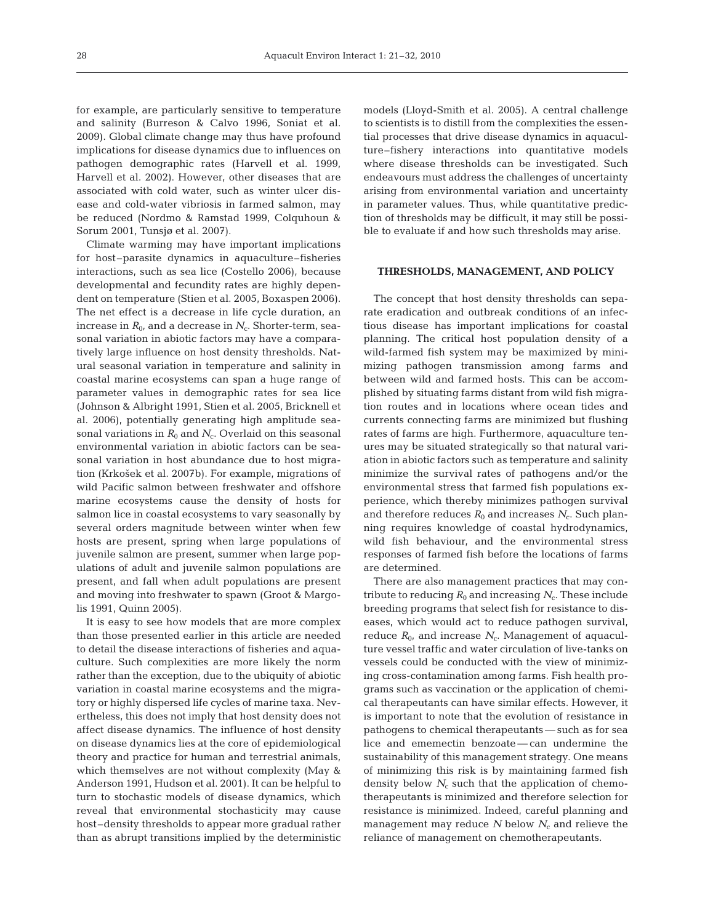for example, are particularly sensitive to temperature and salinity (Burreson & Calvo 1996, Soniat et al. 2009). Global climate change may thus have profound implications for disease dynamics due to influences on pathogen demographic rates (Harvell et al. 1999, Harvell et al. 2002). However, other diseases that are associated with cold water, such as winter ulcer disease and cold-water vibriosis in farmed salmon, may be reduced (Nordmo & Ramstad 1999, Colquhoun & Sorum 2001, Tunsjø et al. 2007).

Climate warming may have important implications for host–parasite dynamics in aquaculture–fisheries interactions, such as sea lice (Costello 2006), because developmental and fecundity rates are highly dependent on temperature (Stien et al. 2005, Boxaspen 2006). The net effect is a decrease in life cycle duration, an increase in  $R_0$ , and a decrease in  $N_c$ . Shorter-term, seasonal variation in abiotic factors may have a comparatively large influence on host density thresholds. Natural seasonal variation in temperature and salinity in coastal marine ecosystems can span a huge range of parameter values in demographic rates for sea lice (Johnson & Albright 1991, Stien et al. 2005, Bricknell et al. 2006), potentially generating high amplitude seasonal variations in  $R_0$  and  $N_c$ . Overlaid on this seasonal environmental variation in abiotic factors can be seasonal variation in host abundance due to host migration (Krko\$ek et al. 2007b). For example, migrations of wild Pacific salmon between freshwater and offshore marine ecosystems cause the density of hosts for salmon lice in coastal ecosystems to vary seasonally by several orders magnitude between winter when few hosts are present, spring when large populations of juvenile salmon are present, summer when large populations of adult and juvenile salmon populations are present, and fall when adult populations are present and moving into freshwater to spawn (Groot & Margolis 1991, Quinn 2005).

It is easy to see how models that are more complex than those presented earlier in this article are needed to detail the disease interactions of fisheries and aquaculture. Such complexities are more likely the norm rather than the exception, due to the ubiquity of abiotic variation in coastal marine ecosystems and the migratory or highly dispersed life cycles of marine taxa. Nevertheless, this does not imply that host density does not affect disease dynamics. The influence of host density on disease dynamics lies at the core of epidemiological theory and practice for human and terrestrial animals, which themselves are not without complexity (May & Anderson 1991, Hudson et al. 2001). It can be helpful to turn to stochastic models of disease dynamics, which reveal that environmental stochasticity may cause host–density thresholds to appear more gradual rather than as abrupt transitions implied by the deterministic models (Lloyd-Smith et al. 2005). A central challenge to scientists is to distill from the complexities the essential processes that drive disease dynamics in aquaculture–fishery interactions into quantitative models where disease thresholds can be investigated. Such endeavours must address the challenges of uncertainty arising from environmental variation and uncertainty in parameter values. Thus, while quantitative prediction of thresholds may be difficult, it may still be possible to evaluate if and how such thresholds may arise.

#### **THRESHOLDS, MANAGEMENT, AND POLICY**

The concept that host density thresholds can separate eradication and outbreak conditions of an infectious disease has important implications for coastal planning. The critical host population density of a wild-farmed fish system may be maximized by minimizing pathogen transmission among farms and between wild and farmed hosts. This can be accomplished by situating farms distant from wild fish migration routes and in locations where ocean tides and currents connecting farms are minimized but flushing rates of farms are high. Furthermore, aquaculture tenures may be situated strategically so that natural variation in abiotic factors such as temperature and salinity minimize the survival rates of pathogens and/or the environmental stress that farmed fish populations experience, which thereby minimizes pathogen survival and therefore reduces  $R_0$  and increases  $N_c$ . Such planning requires knowledge of coastal hydrodynamics, wild fish behaviour, and the environmental stress responses of farmed fish before the locations of farms are determined.

There are also management practices that may contribute to reducing  $R_0$  and increasing  $N_c$ . These include breeding programs that select fish for resistance to diseases, which would act to reduce pathogen survival, reduce  $R_0$ , and increase  $N_c$ . Management of aquaculture vessel traffic and water circulation of live-tanks on vessels could be conducted with the view of minimizing cross-contamination among farms. Fish health programs such as vaccination or the application of chemical therapeutants can have similar effects. However, it is important to note that the evolution of resistance in pathogens to chemical therapeutants — such as for sea lice and ememectin benzoate — can undermine the sustainability of this management strategy. One means of minimizing this risk is by maintaining farmed fish density below  $N_c$  such that the application of chemotherapeutants is minimized and therefore selection for resistance is minimized. Indeed, careful planning and management may reduce  $N$  below  $N_c$  and relieve the reliance of management on chemotherapeutants.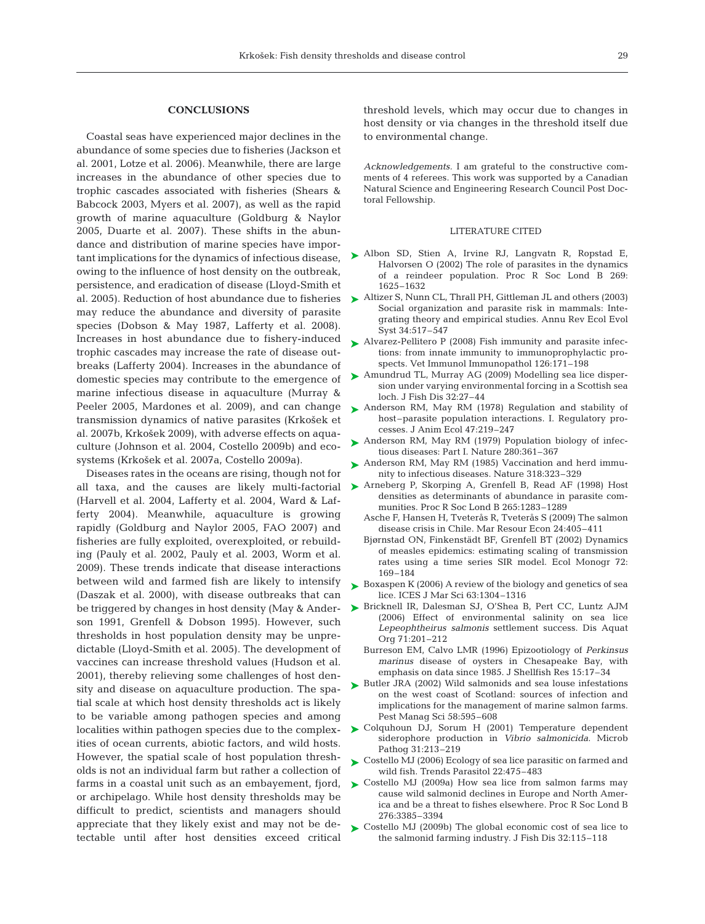## **CONCLUSIONS**

Coastal seas have experienced major declines in the abundance of some species due to fisheries (Jackson et al. 2001, Lotze et al. 2006). Meanwhile, there are large increases in the abundance of other species due to trophic cascades associated with fisheries (Shears & Babcock 2003, Myers et al. 2007), as well as the rapid growth of marine aquaculture (Goldburg & Naylor 2005, Duarte et al. 2007). These shifts in the abundance and distribution of marine species have important implications for the dynamics of infectious disease, owing to the influence of host density on the outbreak, persistence, and eradication of disease (Lloyd-Smith et al. 2005). Reduction of host abundance due to fisheries may reduce the abundance and diversity of parasite species (Dobson & May 1987, Lafferty et al. 2008). Increases in host abundance due to fishery-induced trophic cascades may increase the rate of disease outbreaks (Lafferty 2004). Increases in the abundance of domestic species may contribute to the emergence of marine infectious disease in aquaculture (Murray & Peeler 2005, Mardones et al. 2009), and can change transmission dynamics of native parasites (Krko\$ek et al. 2007b, Krko\$ek 2009), with adverse effects on aquaculture (Johnson et al. 2004, Costello 2009b) and ecosystems (Krko\$ek et al. 2007a, Costello 2009a).

Diseases rates in the oceans are rising, though not for all taxa, and the causes are likely multi-factorial (Harvell et al. 2004, Lafferty et al. 2004, Ward & Lafferty 2004). Meanwhile, aquaculture is growing rapidly (Goldburg and Naylor 2005, FAO 2007) and fisheries are fully exploited, overexploited, or rebuilding (Pauly et al. 2002, Pauly et al. 2003, Worm et al. 2009). These trends indicate that disease interactions between wild and farmed fish are likely to intensify (Daszak et al. 2000), with disease outbreaks that can be triggered by changes in host density (May & Anderson 1991, Grenfell & Dobson 1995). However, such thresholds in host population density may be unpredictable (Lloyd-Smith et al. 2005). The development of vaccines can increase threshold values (Hudson et al. 2001), thereby relieving some challenges of host density and disease on aquaculture production. The spatial scale at which host density thresholds act is likely to be variable among pathogen species and among localities within pathogen species due to the complexities of ocean currents, abiotic factors, and wild hosts. However, the spatial scale of host population thresholds is not an individual farm but rather a collection of farms in a coastal unit such as an embayement, fjord, or archipelago. While host density thresholds may be difficult to predict, scientists and managers should appreciate that they likely exist and may not be detectable until after host densities exceed critical

threshold levels, which may occur due to changes in host density or via changes in the threshold itself due to environmental change.

*Acknowledgements.* I am grateful to the constructive comments of 4 referees. This work was supported by a Canadian Natural Science and Engineering Research Council Post Doctoral Fellowship.

#### LITERATURE CITED

- Albon SD, Stien A, Irvine RJ, Langvatn R, Ropstad E, ➤ Halvorsen O (2002) The role of parasites in the dynamics of a reindeer population. Proc R Soc Lond B 269: 1625–1632
- ► Altizer S, Nunn CL, Thrall PH, Gittleman JL and others (2003) Social organization and parasite risk in mammals: Integrating theory and empirical studies. Annu Rev Ecol Evol Syst 34:517–547
- ► Alvarez-Pellitero P (2008) Fish immunity and parasite infections: from innate immunity to immunoprophylactic prospects. Vet Immunol Immunopathol 126:171–198
- ► Amundrud TL, Murray AG (2009) Modelling sea lice dispersion under varying environmental forcing in a Scottish sea loch. J Fish Dis 32:27–44
- ▶ Anderson RM, May RM (1978) Regulation and stability of host–parasite population interactions. I. Regulatory processes. J Anim Ecol 47:219–247
- ► Anderson RM, May RM (1979) Population biology of infectious diseases: Part I. Nature 280:361–367
- ▶ Anderson RM, May RM (1985) Vaccination and herd immunity to infectious diseases. Nature 318:323–329
- ▶ Arneberg P, Skorping A, Grenfell B, Read AF (1998) Host densities as determinants of abundance in parasite communities. Proc R Soc Lond B 265:1283–1289
	- Asche F, Hansen H, Tveterås R, Tveterås S (2009) The salmon disease crisis in Chile. Mar Resour Econ 24:405–411
	- Bjørnstad ON, Finkenstädt BF, Grenfell BT (2002) Dynamics of measles epidemics: estimating scaling of transmission rates using a time series SIR model. Ecol Monogr 72: 169–184
- ► Boxaspen K (2006) A review of the biology and genetics of sea lice. ICES J Mar Sci 63:1304–1316
- ▶ Bricknell IR, Dalesman SJ, O'Shea B, Pert CC, Luntz AJM (2006) Effect of environmental salinity on sea lice *Lepeophtheirus salmonis* settlement success. Dis Aquat Org 71:201–212
	- Burreson EM, Calvo LMR (1996) Epizootiology of *Perkinsus marinus* disease of oysters in Chesapeake Bay, with emphasis on data since 1985. J Shellfish Res 15:17–34
- ▶ Butler JRA (2002) Wild salmonids and sea louse infestations on the west coast of Scotland: sources of infection and implications for the management of marine salmon farms. Pest Manag Sci 58:595–608
- ▶ Colquhoun DJ, Sorum H (2001) Temperature dependent siderophore production in *Vibrio salmonicida*. Microb Pathog 31:213–219
- ► Costello MJ (2006) Ecology of sea lice parasitic on farmed and wild fish. Trends Parasitol 22:475–483
- ► Costello MJ (2009a) How sea lice from salmon farms may cause wild salmonid declines in Europe and North America and be a threat to fishes elsewhere. Proc R Soc Lond B 276:3385–3394
- ► Costello MJ (2009b) The global economic cost of sea lice to the salmonid farming industry. J Fish Dis 32:115–118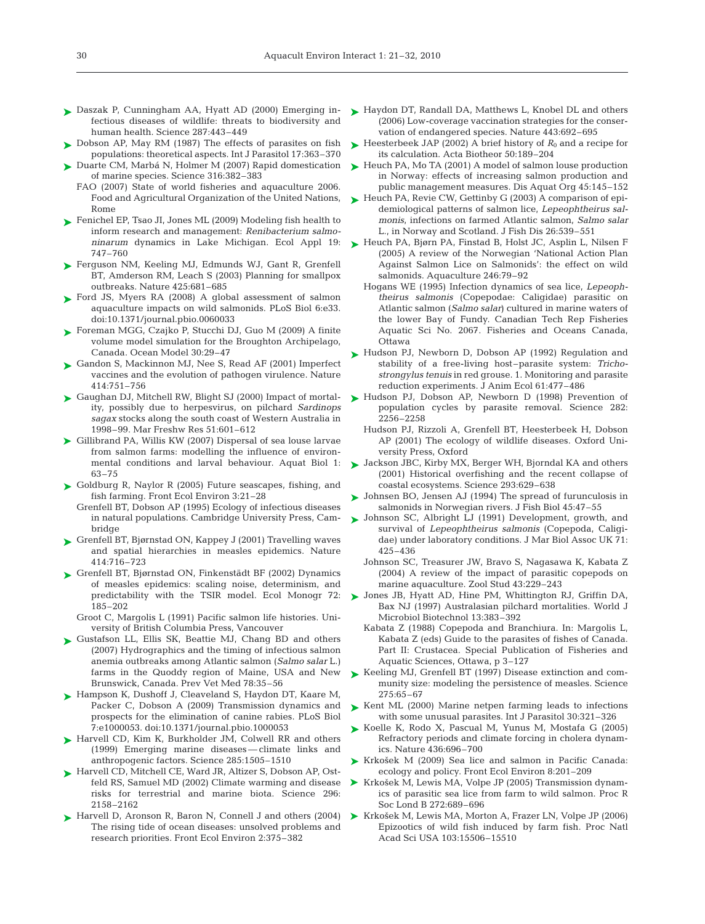- Daszak P, Cunningham AA, Hyatt AD (2000) Emerging in-➤ fectious diseases of wildlife: threats to biodiversity and human health. Science 287:443–449
- ► Dobson AP, May RM (1987) The effects of parasites on fish populations: theoretical aspects. Int J Parasitol 17:363–370
- ► Duarte CM, Marbá N, Holmer M (2007) Rapid domestication of marine species. Science 316:382–383
	- FAO (2007) State of world fisheries and aquaculture 2006. Food and Agricultural Organization of the United Nations, Rome
- ► Fenichel EP, Tsao JI, Jones ML (2009) Modeling fish health to inform research and management: *Renibacterium salmoninarum* dynamics in Lake Michigan. Ecol Appl 19: 747–760
- ► Ferguson NM, Keeling MJ, Edmunds WJ, Gant R, Grenfell BT, Amderson RM, Leach S (2003) Planning for smallpox outbreaks. Nature 425:681–685
- ► Ford JS, Myers RA (2008) A global assessment of salmon aquaculture impacts on wild salmonids. PLoS Biol 6:e33. doi:10.1371/journal.pbio.0060033
- ► Foreman MGG, Czajko P, Stucchi DJ, Guo M (2009) A finite volume model simulation for the Broughton Archipelago, Canada. Ocean Model 30:29–47
- ► Gandon S, Mackinnon MJ, Nee S, Read AF (2001) Imperfect vaccines and the evolution of pathogen virulence. Nature 414:751–756
- ► Gaughan DJ, Mitchell RW, Blight SJ (2000) Impact of mortality, possibly due to herpesvirus, on pilchard *Sardinops sagax* stocks along the south coast of Western Australia in 1998–99. Mar Freshw Res 51:601–612
- ▶ Gillibrand PA, Willis KW (2007) Dispersal of sea louse larvae from salmon farms: modelling the influence of environmental conditions and larval behaviour. Aquat Biol 1: 63–75
- ► Goldburg R, Naylor R (2005) Future seascapes, fishing, and fish farming. Front Ecol Environ 3:21–28
	- Grenfell BT, Dobson AP (1995) Ecology of infectious diseases in natural populations. Cambridge University Press, Cambridge
- ► Grenfell BT, Bjørnstad ON, Kappey J (2001) Travelling waves and spatial hierarchies in measles epidemics. Nature 414:716–723
- ► Grenfell BT, Bjørnstad ON, Finkenstädt BF (2002) Dynamics of measles epidemics: scaling noise, determinism, and predictability with the TSIR model. Ecol Monogr 72: 185–202

Groot C, Margolis L (1991) Pacific salmon life histories. University of British Columbia Press, Vancouver

- Gustafson LL, Ellis SK, Beattie MJ, Chang BD and others ➤ (2007) Hydrographics and the timing of infectious salmon anemia outbreaks among Atlantic salmon (*Salmo salar* L.) farms in the Quoddy region of Maine, USA and New Brunswick, Canada. Prev Vet Med 78:35–56
- ► Hampson K, Dushoff J, Cleaveland S, Haydon DT, Kaare M, Packer C, Dobson A (2009) Transmission dynamics and prospects for the elimination of canine rabies. PLoS Biol 7:e1000053. doi:10.1371/journal.pbio.1000053
- ► Harvell CD, Kim K, Burkholder JM, Colwell RR and others (1999) Emerging marine diseases — climate links and anthropogenic factors. Science 285:1505–1510
- ▶ Harvell CD, Mitchell CE, Ward JR, Altizer S, Dobson AP, Ostfeld RS, Samuel MD (2002) Climate warming and disease risks for terrestrial and marine biota. Science 296: 2158–2162
- ► Harvell D, Aronson R, Baron N, Connell J and others (2004) The rising tide of ocean diseases: unsolved problems and research priorities. Front Ecol Environ 2:375–382
- ► Haydon DT, Randall DA, Matthews L, Knobel DL and others (2006) Low-coverage vaccination strategies for the conservation of endangered species. Nature 443:692–695
- ► Heesterbeek JAP (2002) A brief history of  $R_0$  and a recipe for its calculation. Acta Biotheor 50:189–204
- ► Heuch PA, Mo TA (2001) A model of salmon louse production in Norway: effects of increasing salmon production and public management measures. Dis Aquat Org 45:145–152
- ► Heuch PA, Revie CW, Gettinby G (2003) A comparison of epidemiological patterns of salmon lice, *Lepeophtheirus salmonis*, infections on farmed Atlantic salmon, *Salmo salar* L., in Norway and Scotland. J Fish Dis 26:539–551
- ► Heuch PA, Bjørn PA, Finstad B, Holst JC, Asplin L, Nilsen F (2005) A review of the Norwegian 'National Action Plan Against Salmon Lice on Salmonids': the effect on wild salmonids. Aquaculture 246:79–92
	- Hogans WE (1995) Infection dynamics of sea lice, *Lepeophtheirus salmonis* (Copepodae: Caligidae) parasitic on Atlantic salmon (*Salmo salar*) cultured in marine waters of the lower Bay of Fundy. Canadian Tech Rep Fisheries Aquatic Sci No. 2067. Fisheries and Oceans Canada, Ottawa
- ► Hudson PJ, Newborn D, Dobson AP (1992) Regulation and stability of a free-living host–parasite system: *Trichostrongylus tenuis* in red grouse. 1. Monitoring and parasite reduction experiments. J Anim Ecol 61:477–486
- ► Hudson PJ, Dobson AP, Newborn D (1998) Prevention of population cycles by parasite removal. Science 282: 2256–2258
	- Hudson PJ, Rizzoli A, Grenfell BT, Heesterbeek H, Dobson AP (2001) The ecology of wildlife diseases. Oxford University Press, Oxford
- ► Jackson JBC, Kirby MX, Berger WH, Bjorndal KA and others (2001) Historical overfishing and the recent collapse of coastal ecosystems. Science 293:629–638
- ▶ Johnsen BO, Jensen AJ (1994) The spread of furunculosis in salmonids in Norwegian rivers. J Fish Biol 45:47–55
- ▶ Johnson SC, Albright LJ (1991) Development, growth, and survival of *Lepeophtheirus salmonis* (Copepoda, Caligidae) under laboratory conditions. J Mar Biol Assoc UK 71: 425–436
	- Johnson SC, Treasurer JW, Bravo S, Nagasawa K, Kabata Z (2004) A review of the impact of parasitic copepods on marine aquaculture. Zool Stud 43:229–243
- ▶ Jones JB, Hyatt AD, Hine PM, Whittington RJ, Griffin DA, Bax NJ (1997) Australasian pilchard mortalities. World J Microbiol Biotechnol 13:383–392
	- Kabata Z (1988) Copepoda and Branchiura. In: Margolis L, Kabata Z (eds) Guide to the parasites of fishes of Canada. Part II: Crustacea. Special Publication of Fisheries and Aquatic Sciences, Ottawa, p 3–127
- ► Keeling MJ, Grenfell BT (1997) Disease extinction and community size: modeling the persistence of measles. Science 275:65–67
- ▶ Kent ML (2000) Marine netpen farming leads to infections with some unusual parasites. Int J Parasitol 30:321–326
- ► Koelle K, Rodo X, Pascual M, Yunus M, Mostafa G (2005) Refractory periods and climate forcing in cholera dynamics. Nature 436:696–700
- ▶ Krkošek M (2009) Sea lice and salmon in Pacific Canada: ecology and policy. Front Ecol Environ 8:201–209
- ▶ Krkošek M, Lewis MA, Volpe JP (2005) Transmission dynamics of parasitic sea lice from farm to wild salmon. Proc R Soc Lond B 272:689–696
- ▶ Krkošek M, Lewis MA, Morton A, Frazer LN, Volpe JP (2006) Epizootics of wild fish induced by farm fish. Proc Natl Acad Sci USA 103:15506–15510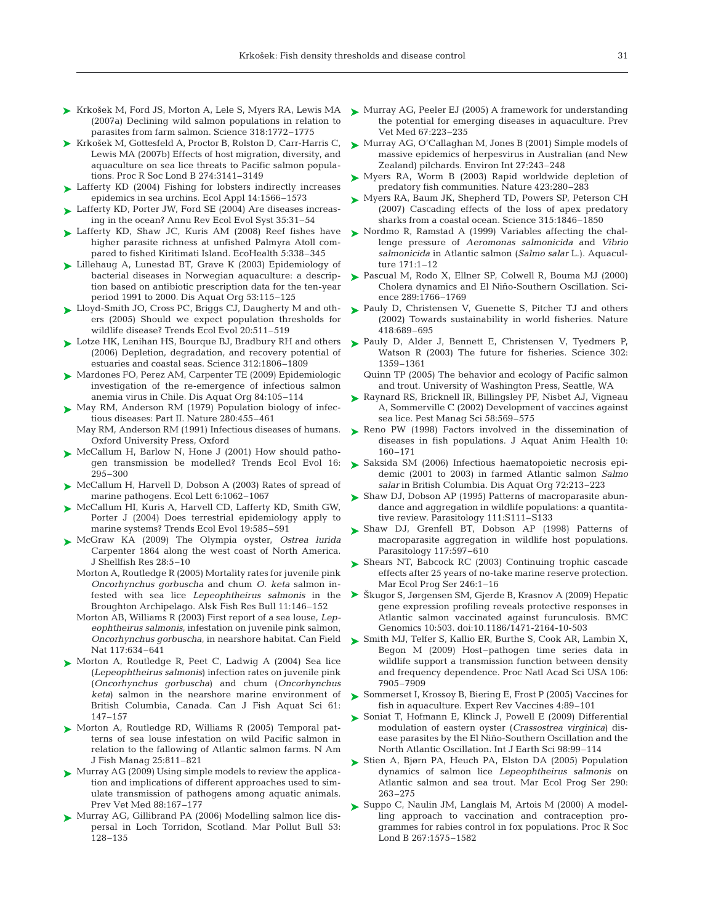- ▶ Krkošek M, Ford JS, Morton A, Lele S, Myers RA, Lewis MA (2007a) Declining wild salmon populations in relation to parasites from farm salmon. Science 318:1772–1775
- ► Krkošek M, Gottesfeld A, Proctor B, Rolston D, Carr-Harris C, Lewis MA (2007b) Effects of host migration, diversity, and aquaculture on sea lice threats to Pacific salmon populations. Proc R Soc Lond B 274:3141–3149
- ► Lafferty KD (2004) Fishing for lobsters indirectly increases epidemics in sea urchins. Ecol Appl 14:1566–1573
- ► Lafferty KD, Porter JW, Ford SE (2004) Are diseases increasing in the ocean? Annu Rev Ecol Evol Syst 35:31–54
- ▶ Lafferty KD, Shaw JC, Kuris AM (2008) Reef fishes have higher parasite richness at unfished Palmyra Atoll compared to fished Kiritimati Island. EcoHealth 5:338–345
- ► Lillehaug A, Lunestad BT, Grave K (2003) Epidemiology of bacterial diseases in Norwegian aquaculture: a description based on antibiotic prescription data for the ten-year period 1991 to 2000. Dis Aquat Org 53:115–125
- ► Lloyd-Smith JO, Cross PC, Briggs CJ, Daugherty M and others (2005) Should we expect population thresholds for wildlife disease? Trends Ecol Evol 20:511–519
- ► Lotze HK, Lenihan HS, Bourque BJ, Bradbury RH and others (2006) Depletion, degradation, and recovery potential of estuaries and coastal seas. Science 312:1806–1809
- ► Mardones FO, Perez AM, Carpenter TE (2009) Epidemiologic investigation of the re-emergence of infectious salmon anemia virus in Chile. Dis Aquat Org 84:105–114
- ► May RM, Anderson RM (1979) Population biology of infectious diseases: Part II. Nature 280:455–461 May RM, Anderson RM (1991) Infectious diseases of humans.
	- Oxford University Press, Oxford
- ▶ McCallum H, Barlow N, Hone J (2001) How should pathogen transmission be modelled? Trends Ecol Evol 16: 295–300
- ► McCallum H, Harvell D, Dobson A (2003) Rates of spread of marine pathogens. Ecol Lett 6:1062–1067
- ► McCallum HI, Kuris A, Harvell CD, Lafferty KD, Smith GW, Porter J (2004) Does terrestrial epidemiology apply to marine systems? Trends Ecol Evol 19:585–591
- McGraw KA (2009) The Olympia oyster, *Ostrea lurida* ➤ Carpenter 1864 along the west coast of North America. J Shellfish Res 28:5–10
	- Morton A, Routledge R (2005) Mortality rates for juvenile pink *Oncorhynchus gorbuscha* and chum *O. keta* salmon infested with sea lice *Lepeophtheirus salmonis* in the Broughton Archipelago. Alsk Fish Res Bull 11:146–152
	- Morton AB, Williams R (2003) First report of a sea louse, *Lepeophtheirus salmonis*, infestation on juvenile pink salmon, *Oncorhynchus gorbuscha*, in nearshore habitat. Can Field Nat 117:634–641
- ► Morton A, Routledge R, Peet C, Ladwig A (2004) Sea lice (*Lepeophtheirus salmonis*) infection rates on juvenile pink (*Oncorhynchus gorbuscha*) and chum (*Oncorhynchus keta*) salmon in the nearshore marine environment of British Columbia, Canada. Can J Fish Aquat Sci 61: 147–157
- ▶ Morton A, Routledge RD, Williams R (2005) Temporal patterns of sea louse infestation on wild Pacific salmon in relation to the fallowing of Atlantic salmon farms. N Am J Fish Manag 25:811–821
- ► Murray AG (2009) Using simple models to review the application and implications of different approaches used to simulate transmission of pathogens among aquatic animals. Prev Vet Med 88:167–177
- ▶ Murray AG, Gillibrand PA (2006) Modelling salmon lice dispersal in Loch Torridon, Scotland. Mar Pollut Bull 53: 128–135
- ► Murray AG, Peeler EJ (2005) A framework for understanding the potential for emerging diseases in aquaculture. Prev Vet Med 67:223–235
- ► Murray AG, O'Callaghan M, Jones B (2001) Simple models of massive epidemics of herpesvirus in Australian (and New Zealand) pilchards. Environ Int 27:243–248
- ► Myers RA, Worm B (2003) Rapid worldwide depletion of predatory fish communities. Nature 423:280–283
- ► Myers RA, Baum JK, Shepherd TD, Powers SP, Peterson CH (2007) Cascading effects of the loss of apex predatory sharks from a coastal ocean. Science 315:1846–1850
- ► Nordmo R, Ramstad A (1999) Variables affecting the challenge pressure of *Aeromonas salmonicida* and *Vibrio salmonicida* in Atlantic salmon (*Salmo salar* L.). Aquaculture 171:1–12
- ► Pascual M, Rodo X, Ellner SP, Colwell R, Bouma MJ (2000) Cholera dynamics and El Niño-Southern Oscillation. Science 289:1766–1769
- ► Pauly D, Christensen V, Guenette S, Pitcher TJ and others (2002) Towards sustainability in world fisheries. Nature 418:689–695
- ► Pauly D, Alder J, Bennett E, Christensen V, Tyedmers P, Watson R (2003) The future for fisheries. Science 302: 1359–1361
	- Quinn TP (2005) The behavior and ecology of Pacific salmon and trout. University of Washington Press, Seattle, WA
- ► Raynard RS, Bricknell IR, Billingsley PF, Nisbet AJ, Vigneau A, Sommerville C (2002) Development of vaccines against sea lice. Pest Manag Sci 58:569–575
- ▶ Reno PW (1998) Factors involved in the dissemination of diseases in fish populations. J Aquat Anim Health 10: 160–171
- ► Saksida SM (2006) Infectious haematopoietic necrosis epidemic (2001 to 2003) in farmed Atlantic salmon *Salmo salar* in British Columbia. Dis Aquat Org 72:213–223
- ► Shaw DJ, Dobson AP (1995) Patterns of macroparasite abundance and aggregation in wildlife populations: a quantitative review. Parasitology 111:S111–S133
- ▶ Shaw DJ, Grenfell BT, Dobson AP (1998) Patterns of macroparasite aggregation in wildlife host populations. Parasitology 117:597–610
- ▶ Shears NT, Babcock RC (2003) Continuing trophic cascade effects after 25 years of no-take marine reserve protection. Mar Ecol Prog Ser 246:1–16
- ► Škugor S, Jørgensen SM, Gjerde B, Krasnov A (2009) Hepatic gene expression profiling reveals protective responses in Atlantic salmon vaccinated against furunculosis. BMC Genomics 10:503. doi:10.1186/1471-2164-10-503
- ► Smith MJ, Telfer S, Kallio ER, Burthe S, Cook AR, Lambin X, Begon M (2009) Host–pathogen time series data in wildlife support a transmission function between density and frequency dependence. Proc Natl Acad Sci USA 106: 7905–7909
- ► Sommerset I, Krossoy B, Biering E, Frost P (2005) Vaccines for fish in aquaculture. Expert Rev Vaccines 4:89–101
- ► Soniat T, Hofmann E, Klinck J, Powell E (2009) Differential modulation of eastern oyster (*Crassostrea virginica*) disease parasites by the El Niño-Southern Oscillation and the North Atlantic Oscillation. Int J Earth Sci 98:99–114
- ► Stien A, Bjørn PA, Heuch PA, Elston DA (2005) Population dynamics of salmon lice *Lepeophtheirus salmonis* on Atlantic salmon and sea trout. Mar Ecol Prog Ser 290: 263–275
- ► Suppo C, Naulin JM, Langlais M, Artois M (2000) A modelling approach to vaccination and contraception programmes for rabies control in fox populations. Proc R Soc Lond B 267:1575–1582